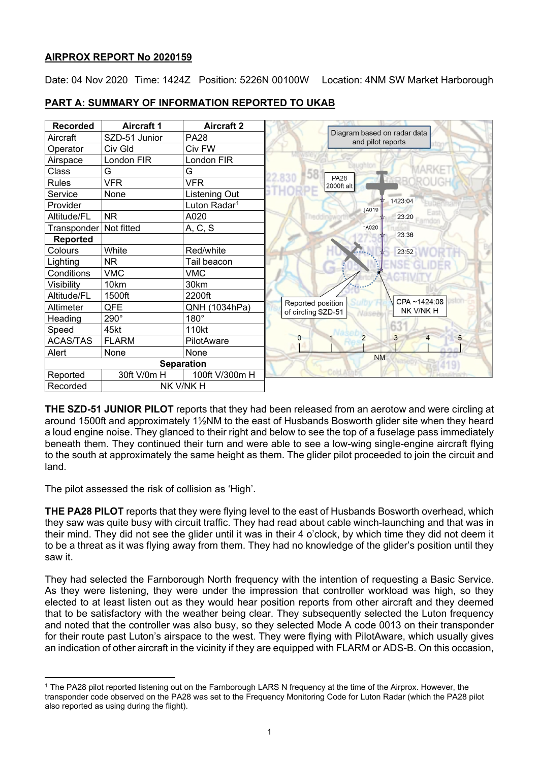## **AIRPROX REPORT No 2020159**

Date: 04 Nov 2020 Time: 1424Z Position: 5226N 00100W Location: 4NM SW Market Harborough

| <b>Recorded</b>       | <b>Aircraft 1</b> | <b>Aircraft 2</b>        |                                         |                                                  |                     |
|-----------------------|-------------------|--------------------------|-----------------------------------------|--------------------------------------------------|---------------------|
| Aircraft              | SZD-51 Junior     | <b>PA28</b>              |                                         | Diagram based on radar data<br>and pilot reports |                     |
| Operator              | Civ Gld           | Civ FW                   |                                         |                                                  |                     |
| Airspace              | London FIR        | London FIR               |                                         |                                                  |                     |
| Class                 | G                 | G                        |                                         |                                                  |                     |
| <b>Rules</b>          | <b>VFR</b>        | <b>VFR</b>               |                                         | <b>PA28</b><br>2000ft alt                        |                     |
| Service               | None              | Listening Out            |                                         |                                                  |                     |
| Provider              |                   | Luton Radar <sup>1</sup> |                                         | <b>LA019</b>                                     | 1423:04             |
| Altitude/FL           | <b>NR</b>         | A020                     |                                         |                                                  | 23:20<br>amou       |
| Transponder           | Not fitted        | A, C, S                  |                                         | <b>1A020</b>                                     |                     |
| <b>Reported</b>       |                   |                          |                                         |                                                  | 23:36               |
| Colours               | White             | Red/white                |                                         |                                                  | 23:52               |
| Lighting              | <b>NR</b>         | Tail beacon              |                                         |                                                  |                     |
| Conditions            | <b>VMC</b>        | <b>VMC</b>               |                                         |                                                  |                     |
| Visibility            | 10km              | 30km                     |                                         |                                                  |                     |
| Altitude/FL           | 1500ft            | 2200ft                   |                                         |                                                  | CPA~1424:08         |
| Altimeter             | QFE               | QNH (1034hPa)            | Reported position<br>of circling SZD-51 |                                                  | NK V/NK H           |
| Heading               | 290°              | $180^\circ$              |                                         |                                                  |                     |
| Speed                 | 45kt              | 110kt                    |                                         |                                                  | 63                  |
| <b>ACAS/TAS</b>       | <b>FLARM</b>      | PilotAware               | $\Omega$                                | $\overline{2}$                                   | 3<br>$\overline{4}$ |
| Alert                 | None              | None                     |                                         | <b>NM</b>                                        | 24.25               |
|                       |                   | <b>Separation</b>        |                                         |                                                  |                     |
| Reported              | 30ft V/0m H       | 100ft V/300m H           |                                         |                                                  |                     |
| NK V/NK H<br>Recorded |                   |                          |                                         |                                                  |                     |

# **PART A: SUMMARY OF INFORMATION REPORTED TO UKAB**

**THE SZD-51 JUNIOR PILOT** reports that they had been released from an aerotow and were circling at around 1500ft and approximately 1½NM to the east of Husbands Bosworth glider site when they heard a loud engine noise. They glanced to their right and below to see the top of a fuselage pass immediately beneath them. They continued their turn and were able to see a low-wing single-engine aircraft flying to the south at approximately the same height as them. The glider pilot proceeded to join the circuit and land.

The pilot assessed the risk of collision as 'High'.

**THE PA28 PILOT** reports that they were flying level to the east of Husbands Bosworth overhead, which they saw was quite busy with circuit traffic. They had read about cable winch-launching and that was in their mind. They did not see the glider until it was in their 4 o'clock, by which time they did not deem it to be a threat as it was flying away from them. They had no knowledge of the glider's position until they saw it.

They had selected the Farnborough North frequency with the intention of requesting a Basic Service. As they were listening, they were under the impression that controller workload was high, so they elected to at least listen out as they would hear position reports from other aircraft and they deemed that to be satisfactory with the weather being clear. They subsequently selected the Luton frequency and noted that the controller was also busy, so they selected Mode A code 0013 on their transponder for their route past Luton's airspace to the west. They were flying with PilotAware, which usually gives an indication of other aircraft in the vicinity if they are equipped with FLARM or ADS-B. On this occasion,

<span id="page-0-0"></span><sup>1</sup> The PA28 pilot reported listening out on the Farnborough LARS N frequency at the time of the Airprox. However, the transponder code observed on the PA28 was set to the Frequency Monitoring Code for Luton Radar (which the PA28 pilot also reported as using during the flight).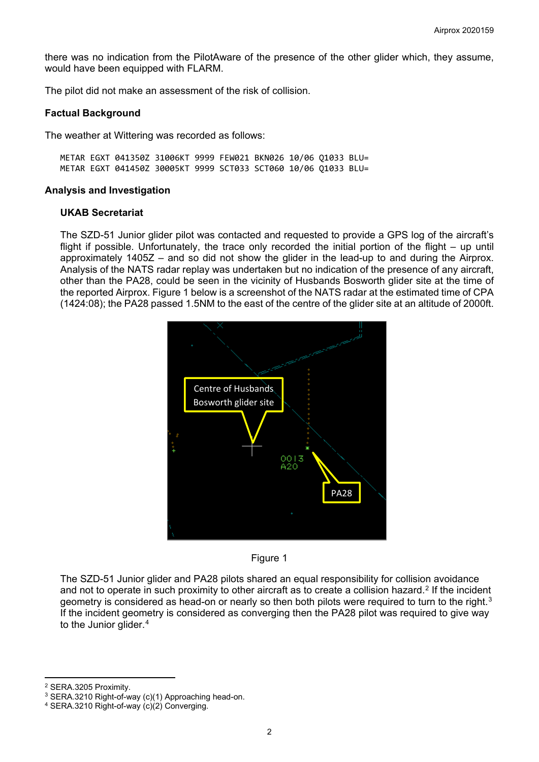there was no indication from the PilotAware of the presence of the other glider which, they assume, would have been equipped with FLARM.

The pilot did not make an assessment of the risk of collision.

#### **Factual Background**

The weather at Wittering was recorded as follows:

METAR EGXT 041350Z 31006KT 9999 FEW021 BKN026 10/06 Q1033 BLU= METAR EGXT 041450Z 30005KT 9999 SCT033 SCT060 10/06 Q1033 BLU=

#### **Analysis and Investigation**

### **UKAB Secretariat**

The SZD-51 Junior glider pilot was contacted and requested to provide a GPS log of the aircraft's flight if possible. Unfortunately, the trace only recorded the initial portion of the flight – up until approximately 1405Z – and so did not show the glider in the lead-up to and during the Airprox. Analysis of the NATS radar replay was undertaken but no indication of the presence of any aircraft, other than the PA28, could be seen in the vicinity of Husbands Bosworth glider site at the time of the reported Airprox. Figure 1 below is a screenshot of the NATS radar at the estimated time of CPA (1424:08); the PA28 passed 1.5NM to the east of the centre of the glider site at an altitude of 2000ft.





The SZD-51 Junior glider and PA28 pilots shared an equal responsibility for collision avoidance and not to operate in such proximity to other aircraft as to create a collision hazard.<sup>[2](#page-1-0)</sup> If the incident geometry is considered as head-on or nearly so then both pilots were required to turn to the right.<sup>[3](#page-1-1)</sup> If the incident geometry is considered as converging then the PA28 pilot was required to give way to the Junior glider.<sup>[4](#page-1-2)</sup>

<span id="page-1-0"></span><sup>2</sup> SERA.3205 Proximity.

<span id="page-1-1"></span><sup>3</sup> SERA.3210 Right-of-way (c)(1) Approaching head-on.

<span id="page-1-2"></span><sup>4</sup> SERA.3210 Right-of-way (c)(2) Converging.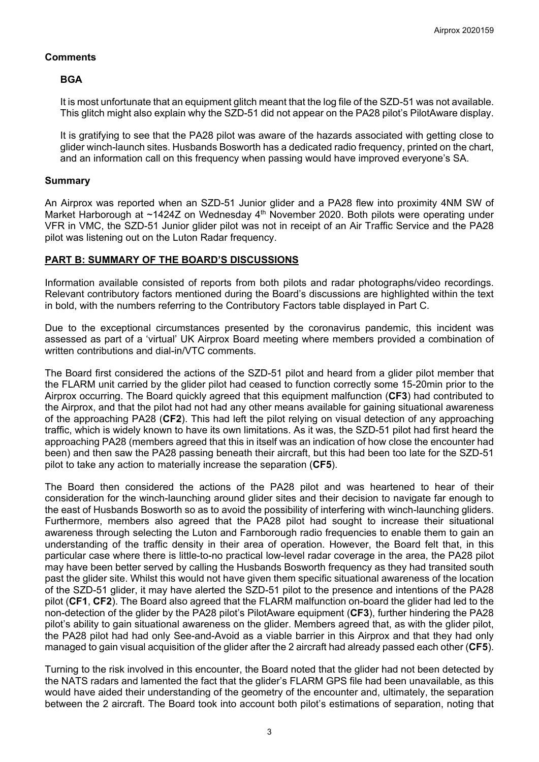## **Comments**

## **BGA**

It is most unfortunate that an equipment glitch meant that the log file of the SZD-51 was not available. This glitch might also explain why the SZD-51 did not appear on the PA28 pilot's PilotAware display.

It is gratifying to see that the PA28 pilot was aware of the hazards associated with getting close to glider winch-launch sites. Husbands Bosworth has a dedicated radio frequency, printed on the chart, and an information call on this frequency when passing would have improved everyone's SA.

## **Summary**

An Airprox was reported when an SZD-51 Junior glider and a PA28 flew into proximity 4NM SW of Market Harborough at ~1424Z on Wednesday 4<sup>th</sup> November 2020. Both pilots were operating under VFR in VMC, the SZD-51 Junior glider pilot was not in receipt of an Air Traffic Service and the PA28 pilot was listening out on the Luton Radar frequency.

## **PART B: SUMMARY OF THE BOARD'S DISCUSSIONS**

Information available consisted of reports from both pilots and radar photographs/video recordings. Relevant contributory factors mentioned during the Board's discussions are highlighted within the text in bold, with the numbers referring to the Contributory Factors table displayed in Part C.

Due to the exceptional circumstances presented by the coronavirus pandemic, this incident was assessed as part of a 'virtual' UK Airprox Board meeting where members provided a combination of written contributions and dial-in/VTC comments.

The Board first considered the actions of the SZD-51 pilot and heard from a glider pilot member that the FLARM unit carried by the glider pilot had ceased to function correctly some 15-20min prior to the Airprox occurring. The Board quickly agreed that this equipment malfunction (**CF3**) had contributed to the Airprox, and that the pilot had not had any other means available for gaining situational awareness of the approaching PA28 (**CF2**). This had left the pilot relying on visual detection of any approaching traffic, which is widely known to have its own limitations. As it was, the SZD-51 pilot had first heard the approaching PA28 (members agreed that this in itself was an indication of how close the encounter had been) and then saw the PA28 passing beneath their aircraft, but this had been too late for the SZD-51 pilot to take any action to materially increase the separation (**CF5**).

The Board then considered the actions of the PA28 pilot and was heartened to hear of their consideration for the winch-launching around glider sites and their decision to navigate far enough to the east of Husbands Bosworth so as to avoid the possibility of interfering with winch-launching gliders. Furthermore, members also agreed that the PA28 pilot had sought to increase their situational awareness through selecting the Luton and Farnborough radio frequencies to enable them to gain an understanding of the traffic density in their area of operation. However, the Board felt that, in this particular case where there is little-to-no practical low-level radar coverage in the area, the PA28 pilot may have been better served by calling the Husbands Bosworth frequency as they had transited south past the glider site. Whilst this would not have given them specific situational awareness of the location of the SZD-51 glider, it may have alerted the SZD-51 pilot to the presence and intentions of the PA28 pilot (**CF1**, **CF2**). The Board also agreed that the FLARM malfunction on-board the glider had led to the non-detection of the glider by the PA28 pilot's PilotAware equipment (**CF3**), further hindering the PA28 pilot's ability to gain situational awareness on the glider. Members agreed that, as with the glider pilot, the PA28 pilot had had only See-and-Avoid as a viable barrier in this Airprox and that they had only managed to gain visual acquisition of the glider after the 2 aircraft had already passed each other (**CF5**).

Turning to the risk involved in this encounter, the Board noted that the glider had not been detected by the NATS radars and lamented the fact that the glider's FLARM GPS file had been unavailable, as this would have aided their understanding of the geometry of the encounter and, ultimately, the separation between the 2 aircraft. The Board took into account both pilot's estimations of separation, noting that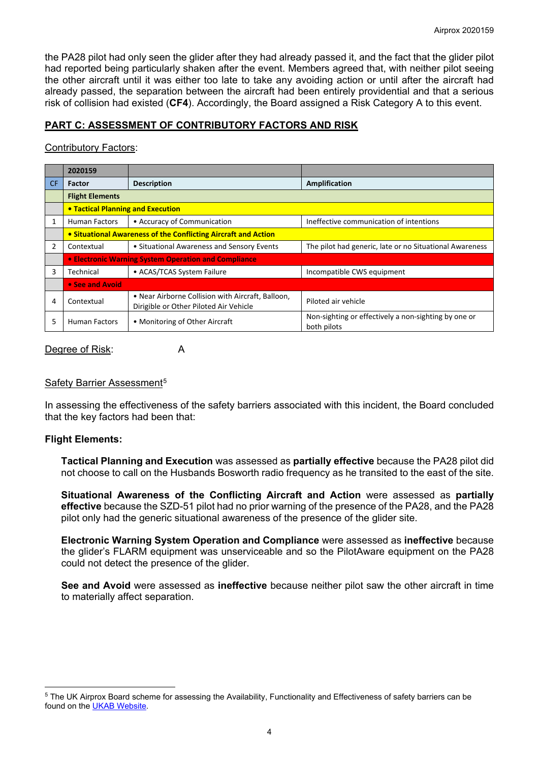the PA28 pilot had only seen the glider after they had already passed it, and the fact that the glider pilot had reported being particularly shaken after the event. Members agreed that, with neither pilot seeing the other aircraft until it was either too late to take any avoiding action or until after the aircraft had already passed, the separation between the aircraft had been entirely providential and that a serious risk of collision had existed (**CF4**). Accordingly, the Board assigned a Risk Category A to this event.

# **PART C: ASSESSMENT OF CONTRIBUTORY FACTORS AND RISK**

### Contributory Factors:

|     | 2020159                                                        |                                                                                             |                                                                     |  |  |  |  |
|-----|----------------------------------------------------------------|---------------------------------------------------------------------------------------------|---------------------------------------------------------------------|--|--|--|--|
| CF. | Factor                                                         | <b>Description</b>                                                                          | Amplification                                                       |  |  |  |  |
|     | <b>Flight Elements</b>                                         |                                                                                             |                                                                     |  |  |  |  |
|     | • Tactical Planning and Execution                              |                                                                                             |                                                                     |  |  |  |  |
|     | <b>Human Factors</b>                                           | • Accuracy of Communication                                                                 | Ineffective communication of intentions                             |  |  |  |  |
|     | • Situational Awareness of the Conflicting Aircraft and Action |                                                                                             |                                                                     |  |  |  |  |
|     | Contextual                                                     | • Situational Awareness and Sensory Events                                                  | The pilot had generic, late or no Situational Awareness             |  |  |  |  |
|     | • Electronic Warning System Operation and Compliance           |                                                                                             |                                                                     |  |  |  |  |
| 3   | Technical                                                      | • ACAS/TCAS System Failure                                                                  | Incompatible CWS equipment                                          |  |  |  |  |
|     | • See and Avoid                                                |                                                                                             |                                                                     |  |  |  |  |
| 4   | Contextual                                                     | • Near Airborne Collision with Aircraft, Balloon,<br>Dirigible or Other Piloted Air Vehicle | Piloted air vehicle                                                 |  |  |  |  |
| 5   | <b>Human Factors</b>                                           | • Monitoring of Other Aircraft                                                              | Non-sighting or effectively a non-sighting by one or<br>both pilots |  |  |  |  |

#### Degree of Risk: A

### Safety Barrier Assessment<sup>[5](#page-3-0)</sup>

In assessing the effectiveness of the safety barriers associated with this incident, the Board concluded that the key factors had been that:

## **Flight Elements:**

**Tactical Planning and Execution** was assessed as **partially effective** because the PA28 pilot did not choose to call on the Husbands Bosworth radio frequency as he transited to the east of the site.

**Situational Awareness of the Conflicting Aircraft and Action** were assessed as **partially effective** because the SZD-51 pilot had no prior warning of the presence of the PA28, and the PA28 pilot only had the generic situational awareness of the presence of the glider site.

**Electronic Warning System Operation and Compliance** were assessed as **ineffective** because the glider's FLARM equipment was unserviceable and so the PilotAware equipment on the PA28 could not detect the presence of the glider.

**See and Avoid** were assessed as **ineffective** because neither pilot saw the other aircraft in time to materially affect separation.

<span id="page-3-0"></span><sup>&</sup>lt;sup>5</sup> The UK Airprox Board scheme for assessing the Availability, Functionality and Effectiveness of safety barriers can be found on the [UKAB Website.](http://www.airproxboard.org.uk/Learn-more/Airprox-Barrier-Assessment/)